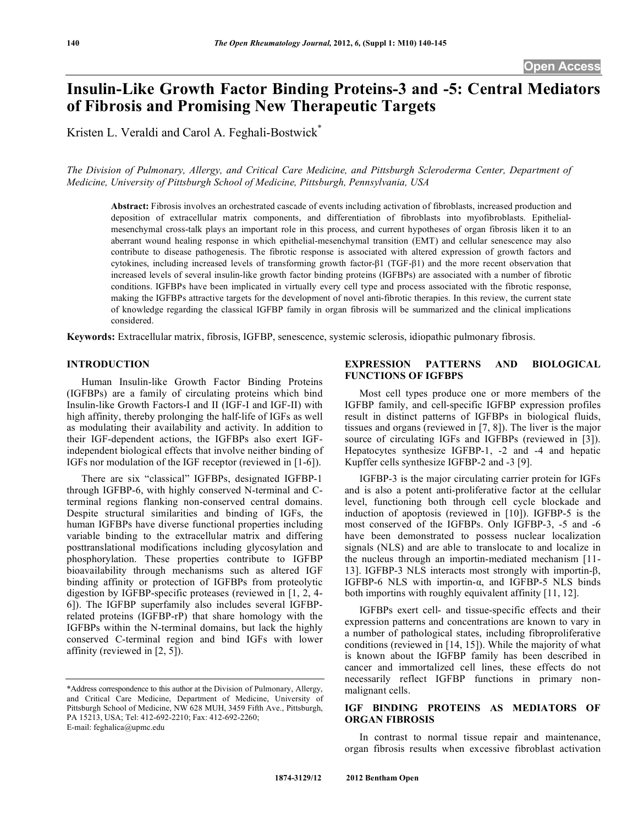# **Insulin-Like Growth Factor Binding Proteins-3 and -5: Central Mediators of Fibrosis and Promising New Therapeutic Targets**

Kristen L. Veraldi and Carol A. Feghali-Bostwick\*

*The Division of Pulmonary, Allergy, and Critical Care Medicine, and Pittsburgh Scleroderma Center, Department of Medicine, University of Pittsburgh School of Medicine, Pittsburgh, Pennsylvania, USA* 

**Abstract:** Fibrosis involves an orchestrated cascade of events including activation of fibroblasts, increased production and deposition of extracellular matrix components, and differentiation of fibroblasts into myofibroblasts. Epithelialmesenchymal cross-talk plays an important role in this process, and current hypotheses of organ fibrosis liken it to an aberrant wound healing response in which epithelial-mesenchymal transition (EMT) and cellular senescence may also contribute to disease pathogenesis. The fibrotic response is associated with altered expression of growth factors and cytokines, including increased levels of transforming growth factor- $\beta$ 1 (TGF- $\beta$ 1) and the more recent observation that increased levels of several insulin-like growth factor binding proteins (IGFBPs) are associated with a number of fibrotic conditions. IGFBPs have been implicated in virtually every cell type and process associated with the fibrotic response, making the IGFBPs attractive targets for the development of novel anti-fibrotic therapies. In this review, the current state of knowledge regarding the classical IGFBP family in organ fibrosis will be summarized and the clinical implications considered.

**Keywords:** Extracellular matrix, fibrosis, IGFBP, senescence, systemic sclerosis, idiopathic pulmonary fibrosis.

# **INTRODUCTION**

 Human Insulin-like Growth Factor Binding Proteins (IGFBPs) are a family of circulating proteins which bind Insulin-like Growth Factors-I and II (IGF-I and IGF-II) with high affinity, thereby prolonging the half-life of IGFs as well as modulating their availability and activity. In addition to their IGF-dependent actions, the IGFBPs also exert IGFindependent biological effects that involve neither binding of IGFs nor modulation of the IGF receptor (reviewed in [1-6]).

 There are six "classical" IGFBPs, designated IGFBP-1 through IGFBP-6, with highly conserved N-terminal and Cterminal regions flanking non-conserved central domains. Despite structural similarities and binding of IGFs, the human IGFBPs have diverse functional properties including variable binding to the extracellular matrix and differing posttranslational modifications including glycosylation and phosphorylation. These properties contribute to IGFBP bioavailability through mechanisms such as altered IGF binding affinity or protection of IGFBPs from proteolytic digestion by IGFBP-specific proteases (reviewed in [1, 2, 4- 6]). The IGFBP superfamily also includes several IGFBPrelated proteins (IGFBP-rP) that share homology with the IGFBPs within the N-terminal domains, but lack the highly conserved C-terminal region and bind IGFs with lower affinity (reviewed in [2, 5]).

## **EXPRESSION PATTERNS AND BIOLOGICAL FUNCTIONS OF IGFBPS**

 Most cell types produce one or more members of the IGFBP family, and cell-specific IGFBP expression profiles result in distinct patterns of IGFBPs in biological fluids, tissues and organs (reviewed in [7, 8]). The liver is the major source of circulating IGFs and IGFBPs (reviewed in [3]). Hepatocytes synthesize IGFBP-1, -2 and -4 and hepatic Kupffer cells synthesize IGFBP-2 and -3 [9].

 IGFBP-3 is the major circulating carrier protein for IGFs and is also a potent anti-proliferative factor at the cellular level, functioning both through cell cycle blockade and induction of apoptosis (reviewed in [10]). IGFBP-5 is the most conserved of the IGFBPs. Only IGFBP-3, -5 and -6 have been demonstrated to possess nuclear localization signals (NLS) and are able to translocate to and localize in the nucleus through an importin-mediated mechanism [11- 13]. IGFBP-3 NLS interacts most strongly with importin- $\beta$ , IGFBP-6 NLS with importin- $\alpha$ , and IGFBP-5 NLS binds both importins with roughly equivalent affinity [11, 12].

 IGFBPs exert cell- and tissue-specific effects and their expression patterns and concentrations are known to vary in a number of pathological states, including fibroproliferative conditions (reviewed in [14, 15]). While the majority of what is known about the IGFBP family has been described in cancer and immortalized cell lines, these effects do not necessarily reflect IGFBP functions in primary nonmalignant cells.

## **IGF BINDING PROTEINS AS MEDIATORS OF ORGAN FIBROSIS**

 In contrast to normal tissue repair and maintenance, organ fibrosis results when excessive fibroblast activation

<sup>\*</sup>Address correspondence to this author at the Division of Pulmonary, Allergy, and Critical Care Medicine, Department of Medicine, University of Pittsburgh School of Medicine, NW 628 MUH, 3459 Fifth Ave., Pittsburgh, PA 15213, USA; Tel: 412-692-2210; Fax: 412-692-2260; E-mail: feghalica@upmc.edu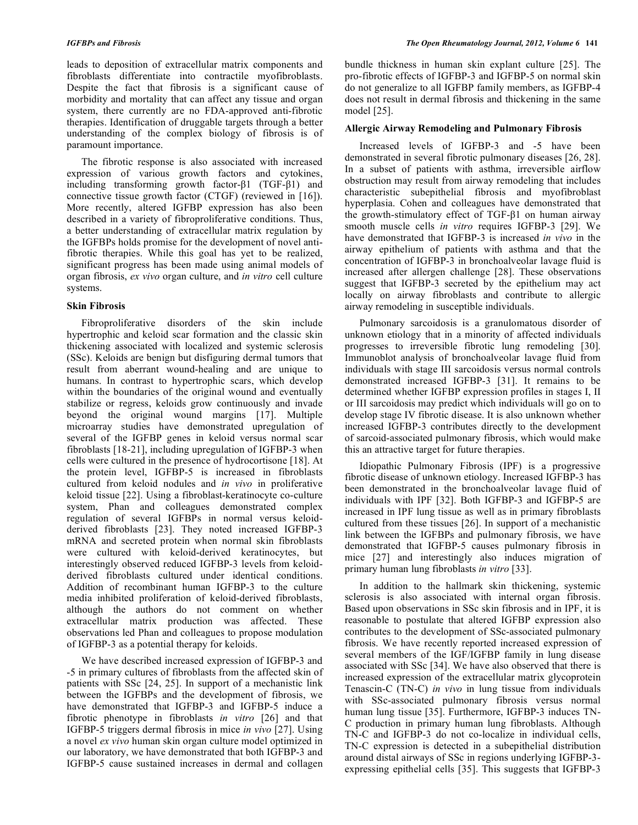leads to deposition of extracellular matrix components and fibroblasts differentiate into contractile myofibroblasts. Despite the fact that fibrosis is a significant cause of morbidity and mortality that can affect any tissue and organ system, there currently are no FDA-approved anti-fibrotic therapies. Identification of druggable targets through a better understanding of the complex biology of fibrosis is of paramount importance.

 The fibrotic response is also associated with increased expression of various growth factors and cytokines, including transforming growth factor- $\beta$ 1 (TGF- $\beta$ 1) and connective tissue growth factor (CTGF) (reviewed in [16]). More recently, altered IGFBP expression has also been described in a variety of fibroproliferative conditions. Thus, a better understanding of extracellular matrix regulation by the IGFBPs holds promise for the development of novel antifibrotic therapies. While this goal has yet to be realized, significant progress has been made using animal models of organ fibrosis, *ex vivo* organ culture, and *in vitro* cell culture systems.

## **Skin Fibrosis**

 Fibroproliferative disorders of the skin include hypertrophic and keloid scar formation and the classic skin thickening associated with localized and systemic sclerosis (SSc). Keloids are benign but disfiguring dermal tumors that result from aberrant wound-healing and are unique to humans. In contrast to hypertrophic scars, which develop within the boundaries of the original wound and eventually stabilize or regress, keloids grow continuously and invade beyond the original wound margins [17]. Multiple microarray studies have demonstrated upregulation of several of the IGFBP genes in keloid versus normal scar fibroblasts [18-21], including upregulation of IGFBP-3 when cells were cultured in the presence of hydrocortisone [18]. At the protein level, IGFBP-5 is increased in fibroblasts cultured from keloid nodules and *in vivo* in proliferative keloid tissue [22]. Using a fibroblast-keratinocyte co-culture system, Phan and colleagues demonstrated complex regulation of several IGFBPs in normal versus keloidderived fibroblasts [23]. They noted increased IGFBP-3 mRNA and secreted protein when normal skin fibroblasts were cultured with keloid-derived keratinocytes, but interestingly observed reduced IGFBP-3 levels from keloidderived fibroblasts cultured under identical conditions. Addition of recombinant human IGFBP-3 to the culture media inhibited proliferation of keloid-derived fibroblasts, although the authors do not comment on whether extracellular matrix production was affected. These observations led Phan and colleagues to propose modulation of IGFBP-3 as a potential therapy for keloids.

 We have described increased expression of IGFBP-3 and -5 in primary cultures of fibroblasts from the affected skin of patients with SSc [24, 25]. In support of a mechanistic link between the IGFBPs and the development of fibrosis, we have demonstrated that IGFBP-3 and IGFBP-5 induce a fibrotic phenotype in fibroblasts *in vitro* [26] and that IGFBP-5 triggers dermal fibrosis in mice *in vivo* [27]. Using a novel *ex vivo* human skin organ culture model optimized in our laboratory, we have demonstrated that both IGFBP-3 and IGFBP-5 cause sustained increases in dermal and collagen

bundle thickness in human skin explant culture [25]. The pro-fibrotic effects of IGFBP-3 and IGFBP-5 on normal skin do not generalize to all IGFBP family members, as IGFBP-4 does not result in dermal fibrosis and thickening in the same model [25].

## **Allergic Airway Remodeling and Pulmonary Fibrosis**

 Increased levels of IGFBP-3 and -5 have been demonstrated in several fibrotic pulmonary diseases [26, 28]. In a subset of patients with asthma, irreversible airflow obstruction may result from airway remodeling that includes characteristic subepithelial fibrosis and myofibroblast hyperplasia. Cohen and colleagues have demonstrated that the growth-stimulatory effect of TGF- $\beta$ 1 on human airway smooth muscle cells *in vitro* requires IGFBP-3 [29]. We have demonstrated that IGFBP-3 is increased *in vivo* in the airway epithelium of patients with asthma and that the concentration of IGFBP-3 in bronchoalveolar lavage fluid is increased after allergen challenge [28]. These observations suggest that IGFBP-3 secreted by the epithelium may act locally on airway fibroblasts and contribute to allergic airway remodeling in susceptible individuals.

 Pulmonary sarcoidosis is a granulomatous disorder of unknown etiology that in a minority of affected individuals progresses to irreversible fibrotic lung remodeling [30]. Immunoblot analysis of bronchoalveolar lavage fluid from individuals with stage III sarcoidosis versus normal controls demonstrated increased IGFBP-3 [31]. It remains to be determined whether IGFBP expression profiles in stages I, II or III sarcoidosis may predict which individuals will go on to develop stage IV fibrotic disease. It is also unknown whether increased IGFBP-3 contributes directly to the development of sarcoid-associated pulmonary fibrosis, which would make this an attractive target for future therapies.

 Idiopathic Pulmonary Fibrosis (IPF) is a progressive fibrotic disease of unknown etiology. Increased IGFBP-3 has been demonstrated in the bronchoalveolar lavage fluid of individuals with IPF [32]. Both IGFBP-3 and IGFBP-5 are increased in IPF lung tissue as well as in primary fibroblasts cultured from these tissues [26]. In support of a mechanistic link between the IGFBPs and pulmonary fibrosis, we have demonstrated that IGFBP-5 causes pulmonary fibrosis in mice [27] and interestingly also induces migration of primary human lung fibroblasts *in vitro* [33].

 In addition to the hallmark skin thickening, systemic sclerosis is also associated with internal organ fibrosis. Based upon observations in SSc skin fibrosis and in IPF, it is reasonable to postulate that altered IGFBP expression also contributes to the development of SSc-associated pulmonary fibrosis. We have recently reported increased expression of several members of the IGF/IGFBP family in lung disease associated with SSc [34]. We have also observed that there is increased expression of the extracellular matrix glycoprotein Tenascin-C (TN-C) *in vivo* in lung tissue from individuals with SSc-associated pulmonary fibrosis versus normal human lung tissue [35]. Furthermore, IGFBP-3 induces TN-C production in primary human lung fibroblasts. Although TN-C and IGFBP-3 do not co-localize in individual cells, TN-C expression is detected in a subepithelial distribution around distal airways of SSc in regions underlying IGFBP-3 expressing epithelial cells [35]. This suggests that IGFBP-3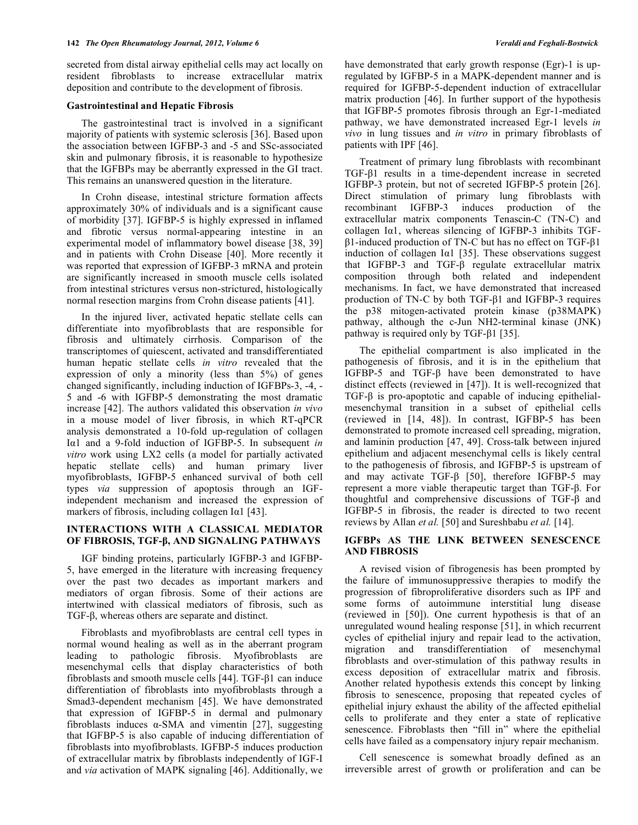secreted from distal airway epithelial cells may act locally on resident fibroblasts to increase extracellular matrix deposition and contribute to the development of fibrosis.

#### **Gastrointestinal and Hepatic Fibrosis**

 The gastrointestinal tract is involved in a significant majority of patients with systemic sclerosis [36]. Based upon the association between IGFBP-3 and -5 and SSc-associated skin and pulmonary fibrosis, it is reasonable to hypothesize that the IGFBPs may be aberrantly expressed in the GI tract. This remains an unanswered question in the literature.

 In Crohn disease, intestinal stricture formation affects approximately 30% of individuals and is a significant cause of morbidity [37]. IGFBP-5 is highly expressed in inflamed and fibrotic versus normal-appearing intestine in an experimental model of inflammatory bowel disease [38, 39] and in patients with Crohn Disease [40]. More recently it was reported that expression of IGFBP-3 mRNA and protein are significantly increased in smooth muscle cells isolated from intestinal strictures versus non-strictured, histologically normal resection margins from Crohn disease patients [41].

 In the injured liver, activated hepatic stellate cells can differentiate into myofibroblasts that are responsible for fibrosis and ultimately cirrhosis. Comparison of the transcriptomes of quiescent, activated and transdifferentiated human hepatic stellate cells *in vitro* revealed that the expression of only a minority (less than 5%) of genes changed significantly, including induction of IGFBPs-3, -4, - 5 and -6 with IGFBP-5 demonstrating the most dramatic increase [42]. The authors validated this observation *in vivo* in a mouse model of liver fibrosis, in which RT-qPCR analysis demonstrated a 10-fold up-regulation of collagen Iα1 and a 9-fold induction of IGFBP-5. In subsequent *in vitro* work using LX2 cells (a model for partially activated hepatic stellate cells) and human primary liver myofibroblasts, IGFBP-5 enhanced survival of both cell types *via* suppression of apoptosis through an IGFindependent mechanism and increased the expression of markers of fibrosis, including collagen I $\alpha$ 1 [43].

# **INTERACTIONS WITH A CLASSICAL MEDIATOR OF FIBROSIS, TGF-, AND SIGNALING PATHWAYS**

 IGF binding proteins, particularly IGFBP-3 and IGFBP-5, have emerged in the literature with increasing frequency over the past two decades as important markers and mediators of organ fibrosis. Some of their actions are intertwined with classical mediators of fibrosis, such as  $TGF- $\beta$ , whereas others are separate and distinct.$ 

 Fibroblasts and myofibroblasts are central cell types in normal wound healing as well as in the aberrant program leading to pathologic fibrosis. Myofibroblasts are mesenchymal cells that display characteristics of both fibroblasts and smooth muscle cells  $[44]$ . TGF- $\beta$ 1 can induce differentiation of fibroblasts into myofibroblasts through a Smad3-dependent mechanism [45]. We have demonstrated that expression of IGFBP-5 in dermal and pulmonary fibroblasts induces  $\alpha$ -SMA and vimentin [27], suggesting that IGFBP-5 is also capable of inducing differentiation of fibroblasts into myofibroblasts. IGFBP-5 induces production of extracellular matrix by fibroblasts independently of IGF-I and *via* activation of MAPK signaling [46]. Additionally, we

have demonstrated that early growth response (Egr)-1 is upregulated by IGFBP-5 in a MAPK-dependent manner and is required for IGFBP-5-dependent induction of extracellular matrix production [46]. In further support of the hypothesis that IGFBP-5 promotes fibrosis through an Egr-1-mediated pathway, we have demonstrated increased Egr-1 levels *in vivo* in lung tissues and *in vitro* in primary fibroblasts of patients with IPF [46].

 Treatment of primary lung fibroblasts with recombinant  $TGF- $\beta$ 1 results in a time-dependent increase in secreted$ IGFBP-3 protein, but not of secreted IGFBP-5 protein [26]. Direct stimulation of primary lung fibroblasts with recombinant IGFBP-3 induces production of the extracellular matrix components Tenascin-C (TN-C) and collagen  $I\alpha$ 1, whereas silencing of IGFBP-3 inhibits TGF- $\beta$ 1-induced production of TN-C but has no effect on TGF- $\beta$ 1 induction of collagen I $\alpha$ 1 [35]. These observations suggest that IGFBP-3 and TGF- $\beta$  regulate extracellular matrix composition through both related and independent mechanisms. In fact, we have demonstrated that increased production of TN-C by both TGF- $\beta$ 1 and IGFBP-3 requires the p38 mitogen-activated protein kinase (p38MAPK) pathway, although the c-Jun NH2-terminal kinase (JNK) pathway is required only by TGF- $\beta$ 1 [35].

 The epithelial compartment is also implicated in the pathogenesis of fibrosis, and it is in the epithelium that IGFBP-5 and TGF- $\beta$  have been demonstrated to have distinct effects (reviewed in [47]). It is well-recognized that  $TGF- $\beta$  is pro-apoptotic and capable of inducing epithelial$ mesenchymal transition in a subset of epithelial cells (reviewed in [14, 48]). In contrast, IGFBP-5 has been demonstrated to promote increased cell spreading, migration, and laminin production [47, 49]. Cross-talk between injured epithelium and adjacent mesenchymal cells is likely central to the pathogenesis of fibrosis, and IGFBP-5 is upstream of and may activate TGF- $\beta$  [50], therefore IGFBP-5 may represent a more viable therapeutic target than  $TGF$ - $\beta$ . For thoughtful and comprehensive discussions of  $TGF- $\beta$  and$ IGFBP-5 in fibrosis, the reader is directed to two recent reviews by Allan *et al.* [50] and Sureshbabu *et al.* [14].

# **IGFBPs AS THE LINK BETWEEN SENESCENCE AND FIBROSIS**

 A revised vision of fibrogenesis has been prompted by the failure of immunosuppressive therapies to modify the progression of fibroproliferative disorders such as IPF and some forms of autoimmune interstitial lung disease (reviewed in [50]). One current hypothesis is that of an unregulated wound healing response [51], in which recurrent cycles of epithelial injury and repair lead to the activation, migration and transdifferentiation of mesenchymal fibroblasts and over-stimulation of this pathway results in excess deposition of extracellular matrix and fibrosis. Another related hypothesis extends this concept by linking fibrosis to senescence, proposing that repeated cycles of epithelial injury exhaust the ability of the affected epithelial cells to proliferate and they enter a state of replicative senescence. Fibroblasts then "fill in" where the epithelial cells have failed as a compensatory injury repair mechanism.

 Cell senescence is somewhat broadly defined as an irreversible arrest of growth or proliferation and can be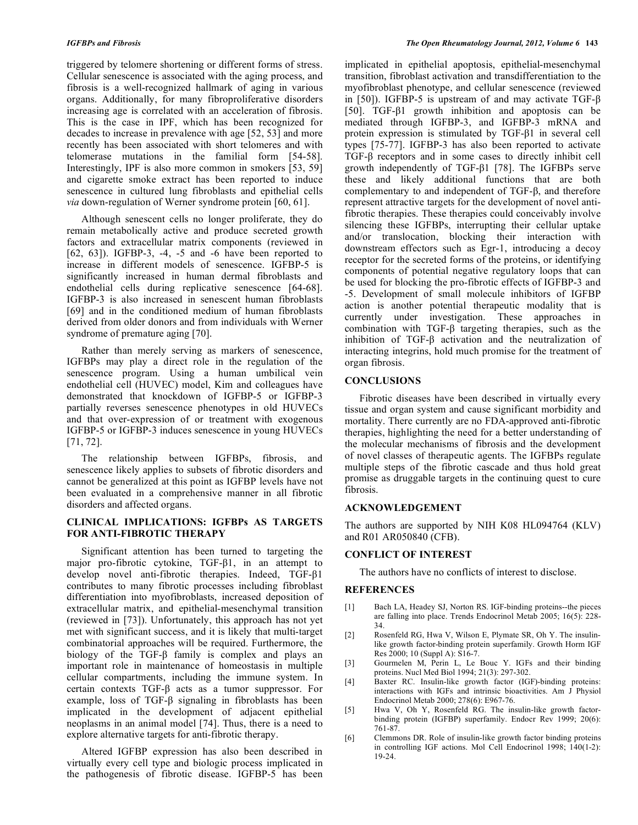triggered by telomere shortening or different forms of stress. Cellular senescence is associated with the aging process, and fibrosis is a well-recognized hallmark of aging in various organs. Additionally, for many fibroproliferative disorders increasing age is correlated with an acceleration of fibrosis. This is the case in IPF, which has been recognized for decades to increase in prevalence with age [52, 53] and more recently has been associated with short telomeres and with telomerase mutations in the familial form [54-58]. Interestingly, IPF is also more common in smokers [53, 59] and cigarette smoke extract has been reported to induce senescence in cultured lung fibroblasts and epithelial cells *via* down-regulation of Werner syndrome protein [60, 61].

 Although senescent cells no longer proliferate, they do remain metabolically active and produce secreted growth factors and extracellular matrix components (reviewed in [62, 63]). IGFBP-3, -4, -5 and -6 have been reported to increase in different models of senescence. IGFBP-5 is significantly increased in human dermal fibroblasts and endothelial cells during replicative senescence [64-68]. IGFBP-3 is also increased in senescent human fibroblasts [69] and in the conditioned medium of human fibroblasts derived from older donors and from individuals with Werner syndrome of premature aging [70].

 Rather than merely serving as markers of senescence, IGFBPs may play a direct role in the regulation of the senescence program. Using a human umbilical vein endothelial cell (HUVEC) model, Kim and colleagues have demonstrated that knockdown of IGFBP-5 or IGFBP-3 partially reverses senescence phenotypes in old HUVECs and that over-expression of or treatment with exogenous IGFBP-5 or IGFBP-3 induces senescence in young HUVECs [71, 72].

 The relationship between IGFBPs, fibrosis, and senescence likely applies to subsets of fibrotic disorders and cannot be generalized at this point as IGFBP levels have not been evaluated in a comprehensive manner in all fibrotic disorders and affected organs.

## **CLINICAL IMPLICATIONS: IGFBPs AS TARGETS FOR ANTI-FIBROTIC THERAPY**

 Significant attention has been turned to targeting the major pro-fibrotic cytokine,  $TGF- $\beta$ 1$ , in an attempt to develop novel anti-fibrotic therapies. Indeed, TGF- $\beta$ 1 contributes to many fibrotic processes including fibroblast differentiation into myofibroblasts, increased deposition of extracellular matrix, and epithelial-mesenchymal transition (reviewed in [73]). Unfortunately, this approach has not yet met with significant success, and it is likely that multi-target combinatorial approaches will be required. Furthermore, the biology of the TGF- $\beta$  family is complex and plays an important role in maintenance of homeostasis in multiple cellular compartments, including the immune system. In certain contexts  $TGF- $\beta$  acts as a tumor suppressor. For$ example, loss of  $TGF- $\beta$  signaling in fibroblasts has been$ implicated in the development of adjacent epithelial neoplasms in an animal model [74]. Thus, there is a need to explore alternative targets for anti-fibrotic therapy.

 Altered IGFBP expression has also been described in virtually every cell type and biologic process implicated in the pathogenesis of fibrotic disease. IGFBP-5 has been

implicated in epithelial apoptosis, epithelial-mesenchymal transition, fibroblast activation and transdifferentiation to the myofibroblast phenotype, and cellular senescence (reviewed in [50]). IGFBP-5 is upstream of and may activate  $TGF- $\beta$$ [50]. TGF- $\beta$ 1 growth inhibition and apoptosis can be mediated through IGFBP-3, and IGFBP-3 mRNA and protein expression is stimulated by  $TGF- $\beta$ 1$  in several cell types [75-77]. IGFBP-3 has also been reported to activate TGF- $\beta$  receptors and in some cases to directly inhibit cell growth independently of TGF- $\beta$ 1 [78]. The IGFBPs serve these and likely additional functions that are both complementary to and independent of  $TGF- $\beta$ , and therefore$ represent attractive targets for the development of novel antifibrotic therapies. These therapies could conceivably involve silencing these IGFBPs, interrupting their cellular uptake and/or translocation, blocking their interaction with downstream effectors such as Egr-1, introducing a decoy receptor for the secreted forms of the proteins, or identifying components of potential negative regulatory loops that can be used for blocking the pro-fibrotic effects of IGFBP-3 and -5. Development of small molecule inhibitors of IGFBP action is another potential therapeutic modality that is currently under investigation. These approaches in combination with  $TGF- $\beta$  targeting the  
repies, such as the$ inhibition of TGF- $\beta$  activation and the neutralization of interacting integrins, hold much promise for the treatment of organ fibrosis.

## **CONCLUSIONS**

 Fibrotic diseases have been described in virtually every tissue and organ system and cause significant morbidity and mortality. There currently are no FDA-approved anti-fibrotic therapies, highlighting the need for a better understanding of the molecular mechanisms of fibrosis and the development of novel classes of therapeutic agents. The IGFBPs regulate multiple steps of the fibrotic cascade and thus hold great promise as druggable targets in the continuing quest to cure fibrosis.

## **ACKNOWLEDGEMENT**

The authors are supported by NIH K08 HL094764 (KLV) and R01 AR050840 (CFB).

## **CONFLICT OF INTEREST**

The authors have no conflicts of interest to disclose.

## **REFERENCES**

- [1] Bach LA, Headey SJ, Norton RS. IGF-binding proteins--the pieces are falling into place. Trends Endocrinol Metab 2005; 16(5): 228- 34.
- [2] Rosenfeld RG, Hwa V, Wilson E, Plymate SR, Oh Y. The insulinlike growth factor-binding protein superfamily. Growth Horm IGF Res 2000; 10 (Suppl A): S16-7.
- [3] Gourmelen M, Perin L, Le Bouc Y. IGFs and their binding proteins. Nucl Med Biol 1994; 21(3): 297-302.
- [4] Baxter RC. Insulin-like growth factor (IGF)-binding proteins: interactions with IGFs and intrinsic bioactivities. Am J Physiol Endocrinol Metab 2000; 278(6): E967-76.
- [5] Hwa V, Oh Y, Rosenfeld RG. The insulin-like growth factorbinding protein (IGFBP) superfamily. Endocr Rev 1999; 20(6): 761-87.
- [6] Clemmons DR. Role of insulin-like growth factor binding proteins in controlling IGF actions. Mol Cell Endocrinol 1998; 140(1-2): 19-24.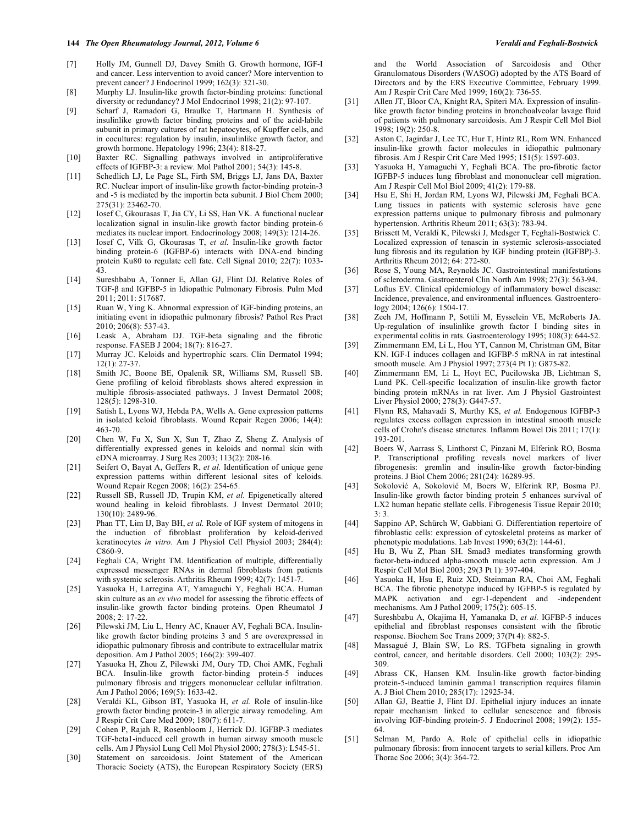- [7] Holly JM, Gunnell DJ, Davey Smith G. Growth hormone, IGF-I and cancer. Less intervention to avoid cancer? More intervention to prevent cancer? J Endocrinol 1999; 162(3): 321-30.
- [8] Murphy LJ. Insulin-like growth factor-binding proteins: functional diversity or redundancy? J Mol Endocrinol 1998; 21(2): 97-107.
- [9] Scharf J, Ramadori G, Braulke T, Hartmann H. Synthesis of insulinlike growth factor binding proteins and of the acid-labile subunit in primary cultures of rat hepatocytes, of Kupffer cells, and in cocultures: regulation by insulin, insulinlike growth factor, and growth hormone. Hepatology 1996; 23(4): 818-27.
- [10] Baxter RC. Signalling pathways involved in antiproliferative effects of IGFBP-3: a review. Mol Pathol 2001; 54(3): 145-8.
- [11] Schedlich LJ, Le Page SL, Firth SM, Briggs LJ, Jans DA, Baxter RC. Nuclear import of insulin-like growth factor-binding protein-3 and -5 is mediated by the importin beta subunit. J Biol Chem 2000; 275(31): 23462-70.
- [12] Iosef C, Gkourasas T, Jia CY, Li SS, Han VK. A functional nuclear localization signal in insulin-like growth factor binding protein-6 mediates its nuclear import. Endocrinology 2008; 149(3): 1214-26.
- [13] Iosef C, Vilk G, Gkourasas T, *et al.* Insulin-like growth factor binding protein-6 (IGFBP-6) interacts with DNA-end binding protein Ku80 to regulate cell fate. Cell Signal 2010; 22(7): 1033- 43.
- [14] Sureshbabu A, Tonner E, Allan GJ, Flint DJ. Relative Roles of TGF- $\beta$  and IGFBP-5 in Idiopathic Pulmonary Fibrosis. Pulm Med 2011; 2011: 517687.
- [15] Ruan W, Ying K. Abnormal expression of IGF-binding proteins, an initiating event in idiopathic pulmonary fibrosis? Pathol Res Pract 2010; 206(8): 537-43.
- [16] Leask A, Abraham DJ. TGF-beta signaling and the fibrotic response. FASEB J 2004; 18(7): 816-27.
- [17] Murray JC. Keloids and hypertrophic scars. Clin Dermatol 1994; 12(1): 27-37.
- [18] Smith JC, Boone BE, Opalenik SR, Williams SM, Russell SB. Gene profiling of keloid fibroblasts shows altered expression in multiple fibrosis-associated pathways. J Invest Dermatol 2008; 128(5): 1298-310.
- [19] Satish L, Lyons WJ, Hebda PA, Wells A. Gene expression patterns in isolated keloid fibroblasts. Wound Repair Regen 2006; 14(4): 463-70.
- [20] Chen W, Fu X, Sun X, Sun T, Zhao Z, Sheng Z. Analysis of differentially expressed genes in keloids and normal skin with cDNA microarray. J Surg Res 2003; 113(2): 208-16.
- [21] Seifert O, Bayat A, Geffers R, *et al.* Identification of unique gene expression patterns within different lesional sites of keloids. Wound Repair Regen 2008; 16(2): 254-65.
- [22] Russell SB, Russell JD, Trupin KM, *et al.* Epigenetically altered wound healing in keloid fibroblasts. J Invest Dermatol 2010; 130(10): 2489-96.
- [23] Phan TT, Lim IJ, Bay BH, *et al.* Role of IGF system of mitogens in the induction of fibroblast proliferation by keloid-derived keratinocytes *in vitro*. Am J Physiol Cell Physiol 2003; 284(4): C860-9.
- [24] Feghali CA, Wright TM. Identification of multiple, differentially expressed messenger RNAs in dermal fibroblasts from patients with systemic sclerosis. Arthritis Rheum 1999; 42(7): 1451-7.
- [25] Yasuoka H, Larregina AT, Yamaguchi Y, Feghali BCA. Human skin culture as an *ex vivo* model for assessing the fibrotic effects of insulin-like growth factor binding proteins. Open Rheumatol J 2008; 2: 17-22.
- [26] Pilewski JM, Liu L, Henry AC, Knauer AV, Feghali BCA. Insulinlike growth factor binding proteins 3 and 5 are overexpressed in idiopathic pulmonary fibrosis and contribute to extracellular matrix deposition. Am J Pathol 2005; 166(2): 399-407.
- [27] Yasuoka H, Zhou Z, Pilewski JM, Oury TD, Choi AMK, Feghali BCA. Insulin-like growth factor-binding protein-5 induces pulmonary fibrosis and triggers mononuclear cellular infiltration. Am J Pathol 2006; 169(5): 1633-42.
- [28] Veraldi KL, Gibson BT, Yasuoka H, *et al.* Role of insulin-like growth factor binding protein-3 in allergic airway remodeling. Am J Respir Crit Care Med 2009; 180(7): 611-7.
- [29] Cohen P, Rajah R, Rosenbloom J, Herrick DJ. IGFBP-3 mediates TGF-beta1-induced cell growth in human airway smooth muscle cells. Am J Physiol Lung Cell Mol Physiol 2000; 278(3): L545-51.
- [30] Statement on sarcoidosis. Joint Statement of the American Thoracic Society (ATS), the European Respiratory Society (ERS)

and the World Association of Sarcoidosis and Other Granulomatous Disorders (WASOG) adopted by the ATS Board of Directors and by the ERS Executive Committee, February 1999. Am J Respir Crit Care Med 1999; 160(2): 736-55.

- [31] Allen JT, Bloor CA, Knight RA, Spiteri MA. Expression of insulinlike growth factor binding proteins in bronchoalveolar lavage fluid of patients with pulmonary sarcoidosis. Am J Respir Cell Mol Biol 1998; 19(2): 250-8.
- [32] Aston C, Jagirdar J, Lee TC, Hur T, Hintz RL, Rom WN. Enhanced insulin-like growth factor molecules in idiopathic pulmonary fibrosis. Am J Respir Crit Care Med 1995; 151(5): 1597-603.
- [33] Yasuoka H, Yamaguchi Y, Feghali BCA. The pro-fibrotic factor IGFBP-5 induces lung fibroblast and mononuclear cell migration. Am J Respir Cell Mol Biol 2009; 41(2): 179-88.
- [34] Hsu E, Shi H, Jordan RM, Lyons WJ, Pilewski JM, Feghali BCA. Lung tissues in patients with systemic sclerosis have gene expression patterns unique to pulmonary fibrosis and pulmonary hypertension. Arthritis Rheum 2011; 63(3): 783-94.
- [35] Brissett M, Veraldi K, Pilewski J, Medsger T, Feghali-Bostwick C. Localized expression of tenascin in systemic sclerosis-associated lung fibrosis and its regulation by IGF binding protein (IGFBP)-3. Arthritis Rheum 2012; 64: 272-80.
- [36] Rose S, Young MA, Reynolds JC. Gastrointestinal manifestations of scleroderma. Gastroenterol Clin North Am 1998; 27(3): 563-94.
- [37] Loftus EV. Clinical epidemiology of inflammatory bowel disease: Incidence, prevalence, and environmental influences. Gastroenterology 2004; 126(6): 1504-17.
- [38] Zeeh JM, Hoffmann P, Sottili M, Eysselein VE, McRoberts JA. Up-regulation of insulinlike growth factor I binding sites in experimental colitis in rats. Gastroenterology 1995; 108(3): 644-52.
- [39] Zimmermann EM, Li L, Hou YT, Cannon M, Christman GM, Bitar KN. IGF-I induces collagen and IGFBP-5 mRNA in rat intestinal smooth muscle. Am J Physiol 1997; 273(4 Pt 1): G875-82.
- [40] Zimmermann EM, Li L, Hoyt EC, Pucilowska JB, Lichtman S, Lund PK. Cell-specific localization of insulin-like growth factor binding protein mRNAs in rat liver. Am J Physiol Gastrointest Liver Physiol 2000; 278(3): G447-57.
- [41] Flynn RS, Mahavadi S, Murthy KS, *et al.* Endogenous IGFBP-3 regulates excess collagen expression in intestinal smooth muscle cells of Crohn's disease strictures. Inflamm Bowel Dis 2011; 17(1): 193-201.
- [42] Boers W, Aarrass S, Linthorst C, Pinzani M, Elferink RO, Bosma P. Transcriptional profiling reveals novel markers of liver fibrogenesis: gremlin and insulin-like growth factor-binding proteins. J Biol Chem 2006; 281(24): 16289-95.
- [43] Sokolović A, Sokolović M, Boers W, Elferink RP, Bosma PJ. Insulin-like growth factor binding protein 5 enhances survival of LX2 human hepatic stellate cells. Fibrogenesis Tissue Repair 2010; 3: 3.
- [44] Sappino AP, Schürch W, Gabbiani G. Differentiation repertoire of fibroblastic cells: expression of cytoskeletal proteins as marker of phenotypic modulations. Lab Invest 1990; 63(2): 144-61.
- [45] Hu B, Wu Z, Phan SH. Smad3 mediates transforming growth factor-beta-induced alpha-smooth muscle actin expression. Am J Respir Cell Mol Biol 2003; 29(3 Pt 1): 397-404.
- [46] Yasuoka H, Hsu E, Ruiz XD, Steinman RA, Choi AM, Feghali BCA. The fibrotic phenotype induced by IGFBP-5 is regulated by MAPK activation and egr-1-dependent and -independent mechanisms. Am J Pathol 2009; 175(2): 605-15.
- [47] Sureshbabu A, Okajima H, Yamanaka D, *et al.* IGFBP-5 induces epithelial and fibroblast responses consistent with the fibrotic response. Biochem Soc Trans 2009; 37(Pt 4): 882-5.
- [48] Massagué J, Blain SW, Lo RS. TGFbeta signaling in growth control, cancer, and heritable disorders. Cell 2000; 103(2): 295- 309.
- [49] Abrass CK, Hansen KM. Insulin-like growth factor-binding protein-5-induced laminin gamma1 transcription requires filamin A. J Biol Chem 2010; 285(17): 12925-34.
- [50] Allan GJ, Beattie J, Flint DJ. Epithelial injury induces an innate repair mechanism linked to cellular senescence and fibrosis involving IGF-binding protein-5. J Endocrinol 2008; 199(2): 155- 64.
- [51] Selman M, Pardo A. Role of epithelial cells in idiopathic pulmonary fibrosis: from innocent targets to serial killers. Proc Am Thorac Soc 2006; 3(4): 364-72.